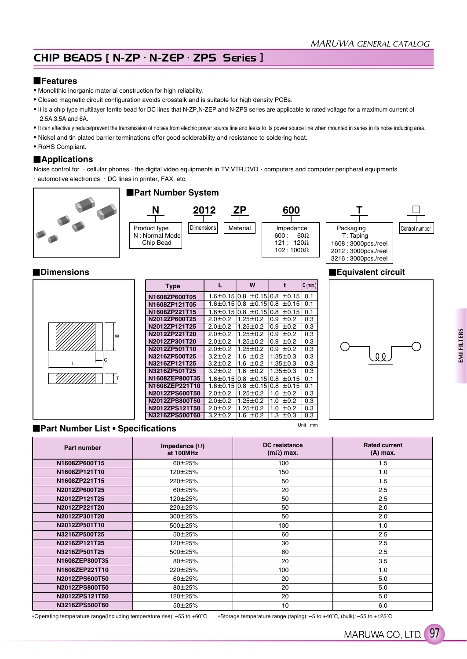# CHIP BEADS [ N-ZP · N-ZEP · ZPS Series ]

### **Features**

- Monolithic inorganic material construction for high reliability.
- Closed magnetic circuit configuration avoids crosstalk and is suitable for high density PCBs.
- It is a chip type multilayer ferrite bead for DC lines that N-ZP,N-ZEP and N-ZPS series are applicable to rated voltage for a maximum current of 2.5A,3.5A and 6A.
- It can effectively reduce/prevent the transmission of noises from electric power source line and leaks to its power source line when mounted in series in its noise inducing area.
- Nickel and tin plated barrier terminations offer good solderability and resistance to soldering heat.
- RoHS Compliant.

## **Applications**

Noise control for  $\cdot$  cellular phones  $\cdot$  the digital video equipments in TV,VTR,DVD  $\cdot$  computers and computer peripheral equipments . automotive electronics . DC lines in printer, FAX, etc.



#### **Dimensions Equivalent circuit Equivalent circuit**

|      | <b>Type</b>    |               | W              |                                              | $ C \text{ (min.)}$ |  |  |
|------|----------------|---------------|----------------|----------------------------------------------|---------------------|--|--|
|      | N1608ZP600T05  |               |                | 1.6±0.15 0.8 ±0.15 0.8 ±0.15                 | 0.1                 |  |  |
|      | N1608ZP121T05  |               |                | 1.6±0.15 0.8 ±0.15 0.8 ±0.15                 | 0.1                 |  |  |
|      | N1608ZP221T15  |               |                | 1.6±0.15 0.8 ±0.15 0.8 ±0.15                 | 0.1                 |  |  |
|      | N2012ZP600T25  | $2.0 \pm 0.2$ | $1.25 \pm 0.2$ | $0.9 \pm 0.2$                                | 0.3                 |  |  |
|      | N2012ZP121T25  | $2.0 \pm 0.2$ | $1.25 \pm 0.2$ | $0.9 \pm 0.2$                                | 0.3                 |  |  |
| W    | N2012ZP221T20  | $2.0 \pm 0.2$ | $1.25 \pm 0.2$ | $0.9 \pm 0.2$                                | 0.3                 |  |  |
|      | N2012ZP301T20  | $2.0 \pm 0.2$ | $1.25 \pm 0.2$ | $0.9 \pm 0.2$                                | 0.3                 |  |  |
|      | N2012ZP501T10  | $2.0 \pm 0.2$ | $1.25 \pm 0.2$ | $0.9 \pm 0.2$                                | 0.3                 |  |  |
| l—lc | N3216ZP500T25  | $3.2 \pm 0.2$ | 1.6 $\pm$ 0.2  | $1.35 \pm 0.3$                               | 0.3                 |  |  |
|      | N3216ZP121T25  | $3.2 \pm 0.2$ | 1.6 $\pm 0.2$  | $1.35 \pm 0.3$                               | 0.3                 |  |  |
|      | N3216ZP501T25  | $3.2 \pm 0.2$ | 1.6 $\pm 0.2$  | $1.35 \pm 0.3$                               | 0.3                 |  |  |
|      | N1608ZEP800T35 |               |                | $1.6 \pm 0.15$ 0.8 $\pm 0.15$ 0.8 $\pm 0.15$ | 0.1                 |  |  |
|      | N1608ZEP221T10 |               |                | 1.6±0.15 0.8 ±0.15 0.8 ±0.15                 | 0.1                 |  |  |
|      | N2012ZPS600T50 | $2.0 \pm 0.2$ | $1.25 \pm 0.2$ | 1.0<br>±0.2                                  | 0.3                 |  |  |
|      | N2012ZPS800T50 | $2.0 \pm 0.2$ | $1.25 \pm 0.2$ | 1.0 $\pm$ 0.2                                | 0.3                 |  |  |
|      | N2012ZPS121T50 | $2.0 \pm 0.2$ | $1.25 \pm 0.2$ | 1.0 $\pm$ 0.2                                | 0.3                 |  |  |
|      | N3216ZPS500T60 | $3.2 \pm 0.2$ | 1.6<br>±0.2    | 1.3<br>$\pm 0.3$                             | 0.3                 |  |  |

### **Part Number List • Specifications**

| Part number    | Impedance $(\Omega)$<br>at 100MHz | DC resistance<br>$(m\Omega)$ max. | <b>Rated current</b><br>$(A)$ max. |
|----------------|-----------------------------------|-----------------------------------|------------------------------------|
| N1608ZP600T15  | $60 + 25%$                        | 100                               | 1.5                                |
| N1608ZP121T10  | 120±25%                           | 150                               | 1.0                                |
| N1608ZP221T15  | 220±25%                           | 50                                | 1.5                                |
| N2012ZP600T25  | 60±25%                            | 20                                | 2.5                                |
| N2012ZP121T25  | 120±25%                           | 50                                | 2.5                                |
| N2012ZP221T20  | 220±25%                           | 50                                | 2.0                                |
| N2012ZP301T20  | 300±25%                           | 50                                | 2.0                                |
| N2012ZP501T10  | 500±25%                           | 100                               | 1.0                                |
| N3216ZP500T25  | 50±25%                            | 60                                | 2.5                                |
| N3216ZP121T25  | 120±25%                           | 30                                | 2.5                                |
| N3216ZP501T25  | 500±25%                           | 60                                | 2.5                                |
| N1608ZEP800T35 | 80±25%                            | 20                                | 3.5                                |
| N1608ZEP221T10 | 220±25%                           | 100                               | 1.0                                |
| N2012ZPS600T50 | 60±25%                            | 20                                | 5.0                                |
| N2012ZPS800T50 | 80±25%                            | 20                                | 5.0                                |
| N2012ZPS121T50 | 120±25%                           | 20                                | 5.0                                |
| N3216ZPS500T60 | 50±25%                            | 10                                | 6.0                                |

Operating temperature range(Including temperature rise): –55 to +60˚C Storage temperature range (taping): –5 to +40˚C, (bulk): –55 to +125˚C

Unit : mm